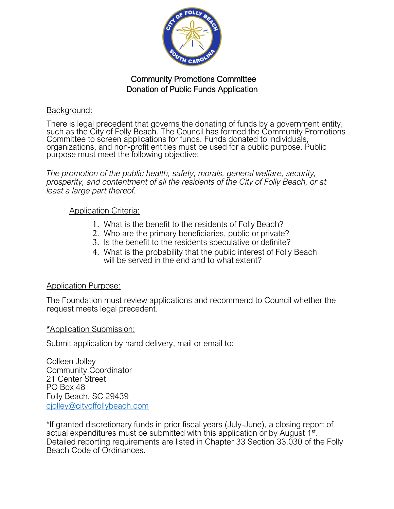

# Community Promotions Committee Donation of Public Funds Application

### Background:

There is legal precedent that governs the donating of funds by a government entity, such as the City of Folly Beach. The Council has formed the Community Promotions such as the City of Folly Beach. The Council has formed the Community Promotions Committee to screen applications for funds. Funds donated to individuals, organizations, and non-profit entities must be used for a public purpose. Public purpose must meet the following objective:

*The promotion of the public health, safety, morals, general welfare, security, prosperity, and contentment of all the residents of the City of Folly Beach, or at least a large part thereof.*

## Application Criteria:

- 1. What is the benefit to the residents of Folly Beach?
- 2. Who are the primary beneficiaries, public or private?
- 3. Is the benefit to the residents speculative or definite?
- 4. What is the probability that the public interest of Folly Beach will be served in the end and to what extent?

## Application Purpose:

The Foundation must review applications and recommend to Council whether the request meets legal precedent.

#### \*Application Submission:

Submit application by hand delivery, mail or email to:

Colleen Jolley Community Coordinator 21 Center Street PO Box 48 Folly Beach, SC 29439 [cjolley@cityoffollybeach.com](mailto:cjolley@cityoffollybeach.com)

\*If granted discretionary funds in prior fiscal years (July-June), a closing report of actual expenditures must be submitted with this application or by August 1<sup>st</sup>. Detailed reporting requirements are listed in Chapter 33 Section 33.030 of the Folly Beach Code of Ordinances.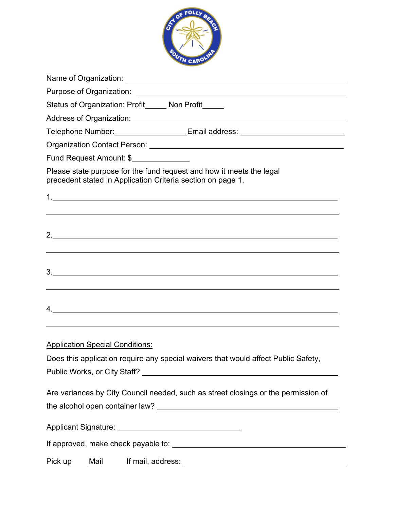

| Status of Organization: Profit_____ Non Profit_____                                                                                                                                        |
|--------------------------------------------------------------------------------------------------------------------------------------------------------------------------------------------|
|                                                                                                                                                                                            |
| Telephone Number:___________________Email address: _____________________________                                                                                                           |
|                                                                                                                                                                                            |
| Fund Request Amount: \$                                                                                                                                                                    |
| Please state purpose for the fund request and how it meets the legal<br>precedent stated in Application Criteria section on page 1.                                                        |
| <u> 1989 - Johann Stoff, deutscher Stoffen und der Stoffen und der Stoffen und der Stoffen und der Stoffen und de</u>                                                                      |
| 2.                                                                                                                                                                                         |
| <u> 1989 - Johann Stoff, deutscher Stoffen und der Stoffen und der Stoffen und der Stoffen und der Stoffen und de</u><br>3.<br><u> 1989 - Johann Stoff, amerikansk politiker (d. 1989)</u> |
| 4.<br>,我们也不会有什么。""我们的人,我们也不会有什么?""我们的人,我们也不会有什么?""我们的人,我们也不会有什么?""我们的人,我们也不会有什么?""我们的人                                                                                                     |
| <u><b>Application Special Conditions:</b></u><br>Does this application require any special waivers that would affect Public Safety,                                                        |
| Are variances by City Council needed, such as street closings or the permission of                                                                                                         |
| Applicant Signature: _________________________________                                                                                                                                     |
|                                                                                                                                                                                            |
|                                                                                                                                                                                            |